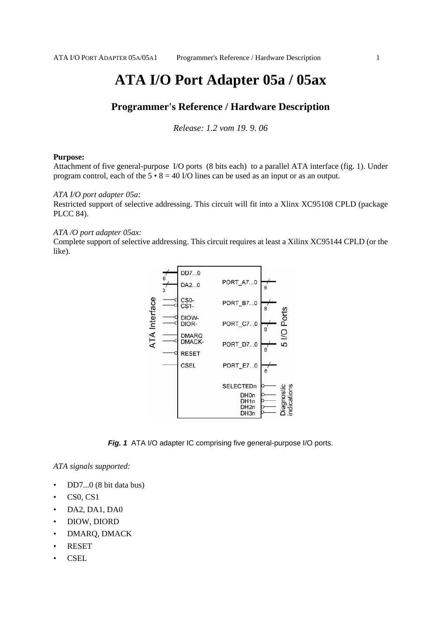# **ATA I/O Port Adapter 05a / 05ax**

# **Programmer's Reference / Hardware Description**

*Release: 1.2 vom 19. 9. 06*

#### **Purpose:**

Attachment of five general-purpose I/O ports (8 bits each) to a parallel ATA interface (fig. 1). Under program control, each of the  $5 \cdot 8 = 40$  I/O lines can be used as an input or as an output.

#### *ATA I/O port adapter 05a:*

Restricted support of selective addressing. This circuit will fit into a Xlinx XC95108 CPLD (package PLCC 84).

#### *ATA /O port adapter 05ax:*

Complete support of selective addressing. This circuit requires at least a Xilinx XC95144 CPLD (or the like).



*Fig. 1* ATA I/O adapter IC comprising five general-purpose I/O ports.

*ATA signals supported:*

- DD7...0 (8 bit data bus)
- CS0, CS1
- DA2, DA1, DA0
- DIOW, DIORD
- DMARQ, DMACK
- RESET
- CSEL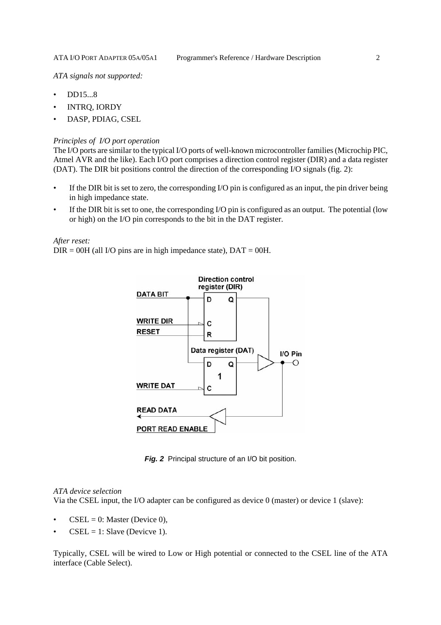*ATA signals not supported:*

- DD15...8
- INTRQ, IORDY
- DASP, PDIAG, CSEL

#### *Principles of I/O port operation*

The I/O ports are similar to the typical I/O ports of well-known microcontroller families (Microchip PIC, Atmel AVR and the like). Each I/O port comprises a direction control register (DIR) and a data register (DAT). The DIR bit positions control the direction of the corresponding I/O signals (fig. 2):

- If the DIR bit is set to zero, the corresponding I/O pin is configured as an input, the pin driver being in high impedance state.
- If the DIR bit is set to one, the corresponding I/O pin is configured as an output. The potential (low or high) on the I/O pin corresponds to the bit in the DAT register.

*After reset:*

 $DIR = 00H$  (all I/O pins are in high impedance state),  $DATA = 00H$ .



*Fig. 2* Principal structure of an I/O bit position.

#### *ATA device selection*

Via the CSEL input, the I/O adapter can be configured as device 0 (master) or device 1 (slave):

- $CSEL = 0$ : Master (Device 0),
- $CSEL = 1$ : Slave (Devicve 1).

Typically, CSEL will be wired to Low or High potential or connected to the CSEL line of the ATA interface (Cable Select).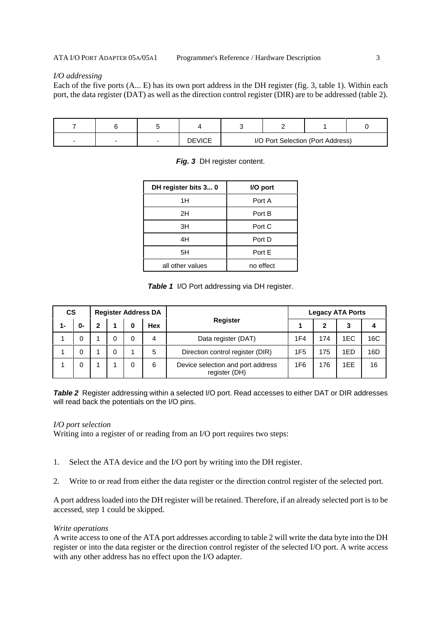#### *I/O addressing*

Each of the five ports (A... E) has its own port address in the DH register (fig. 3, table 1). Within each port, the data register (DAT) as well as the direction control register (DIR) are to be addressed (table 2).

| - |  | <b>DEVICE</b> | I/O Port Selection (Port Address) |  |  |  |
|---|--|---------------|-----------------------------------|--|--|--|

| DH register bits 3 0 | I/O port  |  |  |
|----------------------|-----------|--|--|
| 1H                   | Port A    |  |  |
| 2H                   | Port B    |  |  |
| 3H                   | Port C    |  |  |
| 4H                   | Port D    |  |  |
| 5H                   | Port E    |  |  |
| all other values     | no effect |  |  |

|  |  |  | Fig. 3 DH register content. |
|--|--|--|-----------------------------|
|--|--|--|-----------------------------|

**Table 1** I/O Port addressing via DH register.

| <b>CS</b><br><b>Register Address DA</b> |    |   |   | <b>Legacy ATA Ports</b> |            |                                                    |                 |     |     |     |
|-----------------------------------------|----|---|---|-------------------------|------------|----------------------------------------------------|-----------------|-----|-----|-----|
| $1 -$                                   | 0- | 2 |   | 0                       | <b>Hex</b> | <b>Register</b>                                    |                 |     | 3   |     |
|                                         | 0  |   |   | 0                       | 4          | Data register (DAT)                                | 1F4             | 174 | 1EC | 16C |
|                                         | 0  |   | 0 |                         | 5          | Direction control register (DIR)                   | 1F <sub>5</sub> | 175 | 1ED | 16D |
|                                         | 0  |   |   |                         | 6          | Device selection and port address<br>register (DH) | 1F6             | 176 | 1EE | 16  |

**Table 2** Register addressing within a selected I/O port. Read accesses to either DAT or DIR addresses will read back the potentials on the I/O pins.

#### *I/O port selection*

Writing into a register of or reading from an I/O port requires two steps:

- 1. Select the ATA device and the I/O port by writing into the DH register.
- 2. Write to or read from either the data register or the direction control register of the selected port.

A port address loaded into the DH register will be retained. Therefore, if an already selected port is to be accessed, step 1 could be skipped.

#### *Write operations*

A write access to one of the ATA port addresses according to table 2 will write the data byte into the DH register or into the data register or the direction control register of the selected I/O port. A write access with any other address has no effect upon the I/O adapter.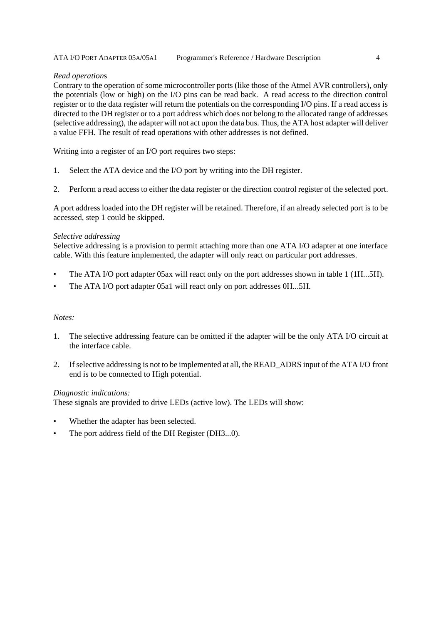#### *Read operation*s

Contrary to the operation of some microcontroller ports (like those of the Atmel AVR controllers), only the potentials (low or high) on the I/O pins can be read back. A read access to the direction control register or to the data register will return the potentials on the corresponding I/O pins. If a read access is directed to the DH register or to a port address which does not belong to the allocated range of addresses (selective addressing), the adapter will not act upon the data bus. Thus, the ATA host adapter will deliver a value FFH. The result of read operations with other addresses is not defined.

Writing into a register of an I/O port requires two steps:

- 1. Select the ATA device and the I/O port by writing into the DH register.
- 2. Perform a read access to either the data register or the direction control register of the selected port.

A port address loaded into the DH register will be retained. Therefore, if an already selected port is to be accessed, step 1 could be skipped.

#### *Selective addressing*

Selective addressing is a provision to permit attaching more than one ATA I/O adapter at one interface cable. With this feature implemented, the adapter will only react on particular port addresses.

- The ATA I/O port adapter 05ax will react only on the port addresses shown in table 1 (1H...5H).
- The ATA I/O port adapter 05a1 will react only on port addresses 0H...5H.

#### *Notes:*

- 1. The selective addressing feature can be omitted if the adapter will be the only ATA I/O circuit at the interface cable.
- 2. If selective addressing is not to be implemented at all, the READ\_ADRS input of the ATA I/O front end is to be connected to High potential.

#### *Diagnostic indications:*

These signals are provided to drive LEDs (active low). The LEDs will show:

- Whether the adapter has been selected.
- The port address field of the DH Register (DH3...0).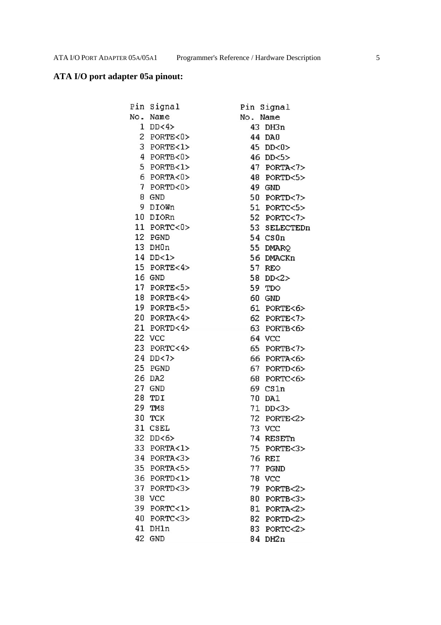# **ATA I/O port adapter 05a pinout:**

| Pin | Signal       |          | Pin Signal    |
|-----|--------------|----------|---------------|
| No. | Name         | No. Name |               |
|     | $1$ DD<4>    |          | 43 DH3n       |
|     | 2 PORTE<0>   | 44       | DA0           |
|     | 3 PORTE<1>   | 45       | DD < 0        |
|     | 4 PORTB<0>   |          | 46 DD<5>      |
|     | 5 PORTB<1>   |          | 47 PORTA<7>   |
|     | 6 PORTA<0>   |          | 48 PORTD<5>   |
|     | 7 PORTD<0>   |          | 49 GND        |
| 8   | GND          |          | 50 PORTD<7>   |
| 9   | <b>DIOWn</b> |          | 51 PORTC<5>   |
| 10  | DIORn        |          | 52 PORTC<7>   |
|     | 11 PORTC<0>  |          | 53 SELECTEDn  |
|     | 12 PGND      | 54       | CSDn          |
|     | 13 DH0n      |          | 55 DMARQ      |
|     | 14 DD<1>     | 56       | <b>DMACKn</b> |
|     | 15 PORTE<4>  |          | 57 REO        |
|     | 16 GND       | 58       | DD < 2        |
|     | 17 PORTE<5>  | 59       | TDO           |
|     | 18 PORTB<4>  | 60       | GND           |
|     | 19 PORTB<5>  |          | 61 PORTE<6>   |
|     | 20 PORTA<4>  |          | 62 PORTE<7>   |
|     | 21 PORTD<4>  |          | 63 PORTB<6>   |
|     | 22 VCC       |          | 64 VCC        |
|     | 23 PORTC<4>  |          | 65 PORTB<7>   |
|     | 24 DD<7>     |          | 66 PORTA<6>   |
|     | 25 PGND      | 67       | PORTD<6>      |
|     | 26 DA2       |          | 68 PORTC<6>   |
|     | 27 GND       |          | 69 CS1n       |
| 28  | TDI          | 70       | DA1           |
| 29  | TMS          |          | 71 DD<3>      |
| 30  | TCK          |          | 72 PORTE<2>   |
|     | 31 CSEL      |          | 73 VCC        |
| 32  | DD < 6       | 74       | RESETn        |
| 33  | PORTA<1>     | 75       | PORTE<3>      |
|     | 34 PORTA<3>  | 76       | REI           |
|     | 35 PORTA<5>  | 77       | PGND          |
|     | 36 PORTD<1>  | 78       | <b>VCC</b>    |
| 37  | PORTD<3>     | 79       | PORTB<2>      |
| 38  | <b>VCC</b>   | 80       | PORTB<3>      |
| 39  | PORTC<1>     | 81       | PORTA < 2     |
| 40  | PORTC < 3    | 82       | PORTD < 2     |
| 41  | DH1n         | 83       | PORTC<2>      |
|     | 42 GND       |          | 84 DH2n       |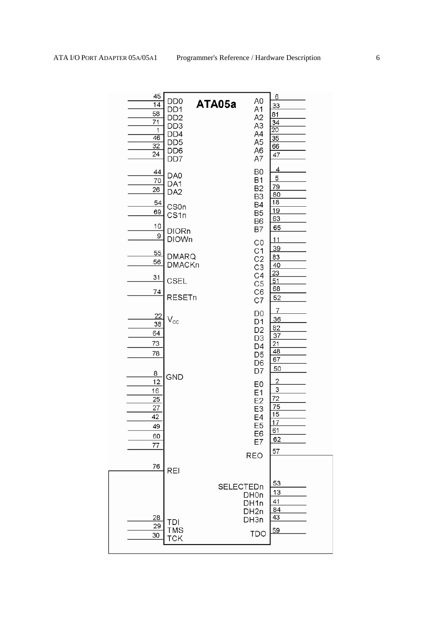| 45<br>14<br>58<br>71<br>1<br>$\overline{46}$<br>$\overline{32}$<br>24                                 | DD <sub>0</sub><br>DD <sub>1</sub><br>DD <sub>2</sub><br>DD <sub>3</sub><br>DD <sub>4</sub><br>DD <sub>5</sub><br>DD <sub>6</sub><br>DD7 | A0<br>ATA05a<br>A1<br>A <sub>2</sub><br>A3<br>A4<br>A <sub>5</sub><br>A6<br>A7                                                                      | 6<br>$\overline{33}$<br>81<br>34<br>$\overline{20}$<br>$\overline{35}$<br>66<br>47              |
|-------------------------------------------------------------------------------------------------------|------------------------------------------------------------------------------------------------------------------------------------------|-----------------------------------------------------------------------------------------------------------------------------------------------------|-------------------------------------------------------------------------------------------------|
| 44<br>70<br>26                                                                                        | DA0<br>DA1<br>DA <sub>2</sub>                                                                                                            | B <sub>0</sub><br><b>B1</b><br>B <sub>2</sub><br>B3                                                                                                 | <u>4</u><br>5<br><u>79</u><br>80                                                                |
| 54<br>69                                                                                              | CS <sub>0</sub> n<br>CS1n                                                                                                                | B4<br>B <sub>5</sub><br>B <sub>6</sub>                                                                                                              | 18<br><u>19</u><br>63                                                                           |
| 10<br>9                                                                                               | <b>DIORn</b><br><b>DIOWn</b>                                                                                                             | <b>B7</b><br>CO<br>C <sub>1</sub>                                                                                                                   | 65<br><u> 11</u><br><u>39</u>                                                                   |
| 55<br>56                                                                                              | <b>DMARQ</b><br><b>DMACKn</b>                                                                                                            | C <sub>2</sub><br>C <sub>3</sub><br>C4                                                                                                              | 83<br>40<br>$\overline{23}$                                                                     |
| 31<br>74                                                                                              | CSEL<br><b>RESETn</b>                                                                                                                    | C <sub>5</sub><br>C <sub>6</sub><br>C7                                                                                                              | 51<br>68<br>52                                                                                  |
| 22<br>38<br>64<br>73<br>78<br>$\overline{\mathbf{8}}$<br>12<br>16<br>25<br>27<br>42<br>49<br>60<br>77 | $\mathsf{V}_{\mathsf{cc}}$<br>GND                                                                                                        | D <sub>0</sub><br>D1<br>D <sub>2</sub><br>D3<br>D4<br>D <sub>5</sub><br>D <sub>6</sub><br>D7<br>E0<br>E1<br>E2<br>E3<br>E4<br>E5<br>E6<br>E7<br>REO | 7<br>36<br>82<br>37<br>21<br>48<br>67<br>50<br>2<br>3<br>72<br>75<br>15<br>17<br>61<br>62<br>57 |
| 76<br><u>28</u><br>29                                                                                 | <b>REI</b><br>TDI                                                                                                                        | SELECTEDn<br>DH <sub>On</sub><br>DH1n<br>DH <sub>2n</sub><br>DH3n                                                                                   | 53<br>13<br>41<br>84<br>43                                                                      |
| 30                                                                                                    | TMS<br>TCK                                                                                                                               | <b>TDO</b>                                                                                                                                          | 59                                                                                              |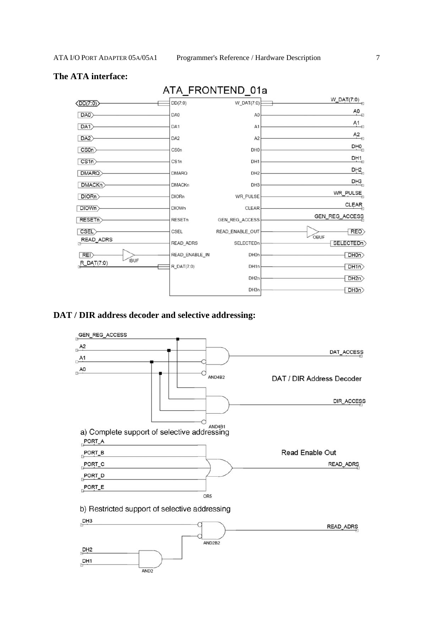### **The ATA interface:**



### **DAT / DIR address decoder and selective addressing:**



# ATA\_FRONTEND\_01a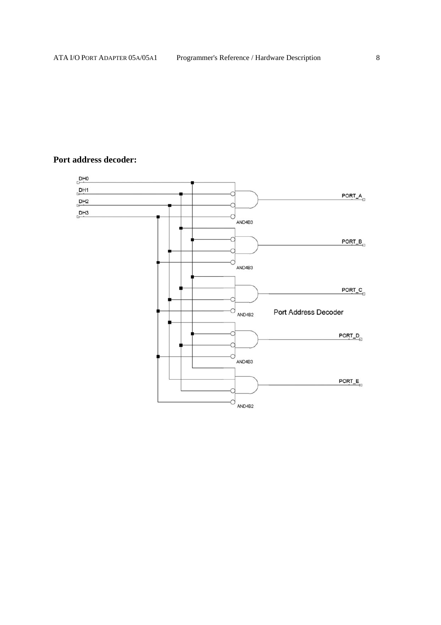### **Port address decoder:**

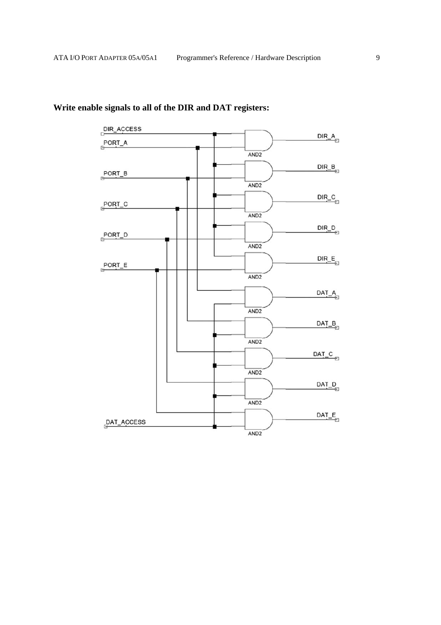

# **Write enable signals to all of the DIR and DAT registers:**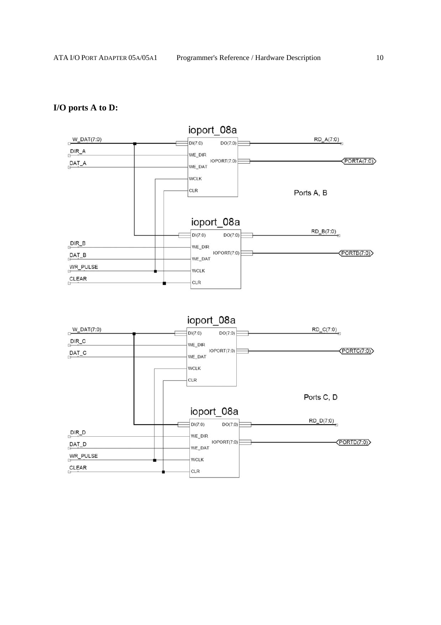## **I/O ports A to D:**

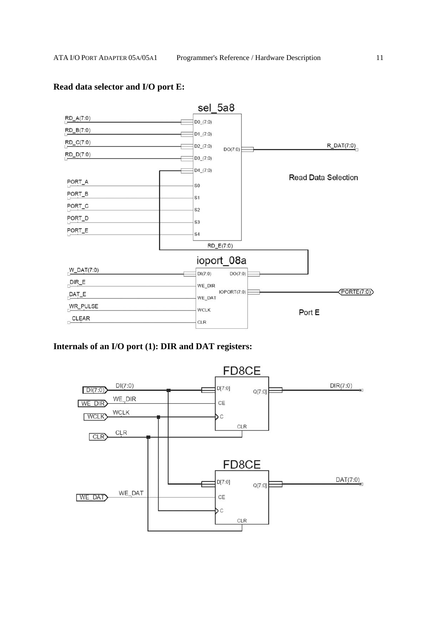

### **Read data selector and I/O port E:**

### **Internals of an I/O port (1): DIR and DAT registers:**